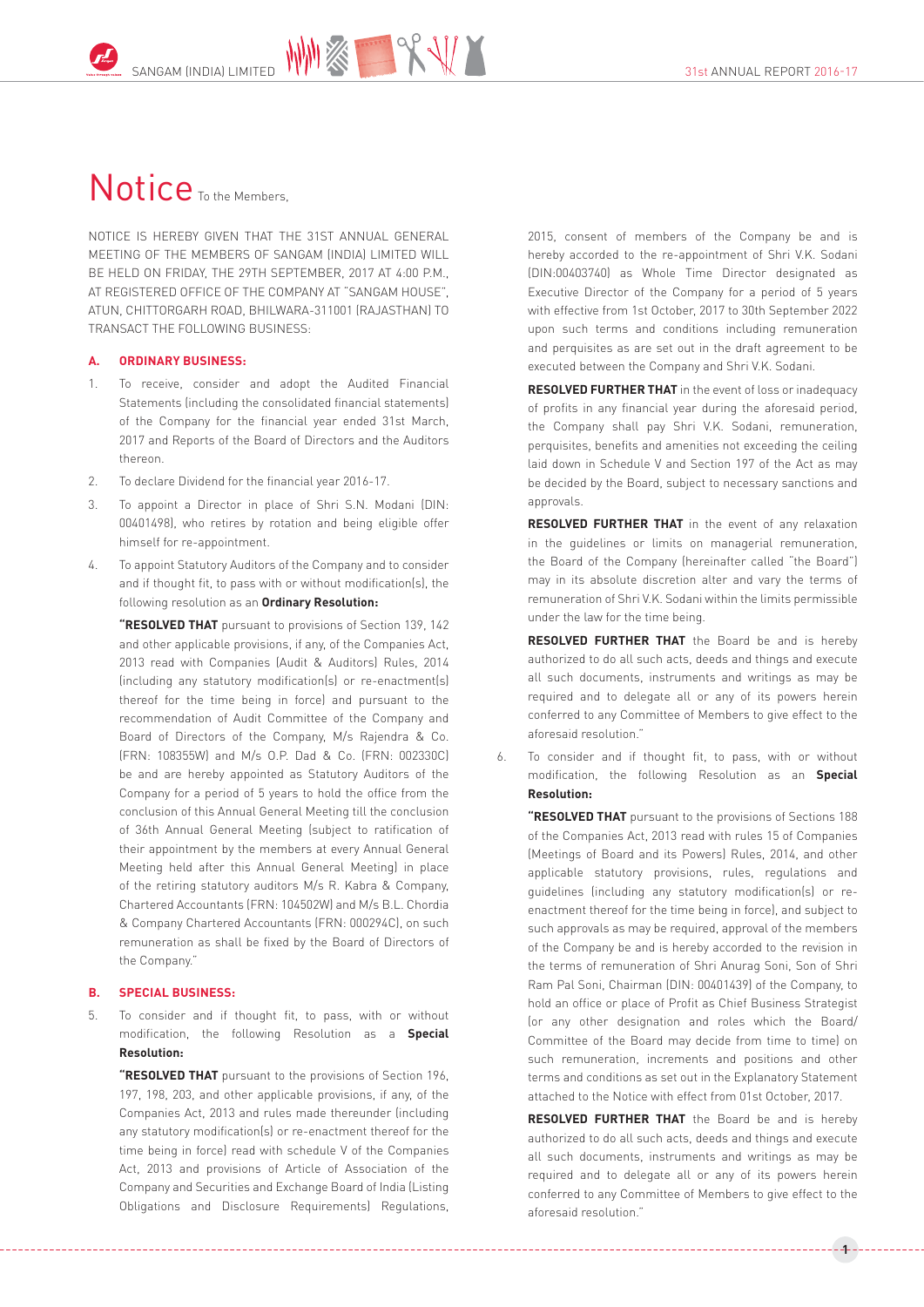## Notice <sub>To the Members</sub>

NOTICE IS HEREBY GIVEN THAT THE 31ST ANNUAL GENERAL MEETING OF THE MEMBERS OF SANGAM (INDIA) LIMITED WILL BE HELD ON FRIDAY, THE 29TH SEPTEMBER, 2017 AT 4:00 P.M., AT REGISTERED OFFICE OF THE COMPANY AT "SANGAM HOUSE", ATUN, CHITTORGARH ROAD, BHILWARA-311001 (RAJASTHAN) TO TRANSACT THE FOLLOWING BUSINESS:

#### **A. ORDINARY BUSINESS:**

- 1. To receive, consider and adopt the Audited Financial Statements (including the consolidated financial statements) of the Company for the financial year ended 31st March, 2017 and Reports of the Board of Directors and the Auditors thereon.
- 2. To declare Dividend for the financial year 2016-17.
- 3. To appoint a Director in place of Shri S.N. Modani (DIN: 00401498), who retires by rotation and being eligible offer himself for re-appointment.
- 4. To appoint Statutory Auditors of the Company and to consider and if thought fit, to pass with or without modification(s), the following resolution as an **Ordinary Resolution:**

**"RESOLVED THAT** pursuant to provisions of Section 139, 142 and other applicable provisions, if any, of the Companies Act, 2013 read with Companies (Audit & Auditors) Rules, 2014 (including any statutory modification(s) or re-enactment(s) thereof for the time being in force) and pursuant to the recommendation of Audit Committee of the Company and Board of Directors of the Company, M/s Rajendra & Co. (FRN: 108355W) and M/s O.P. Dad & Co. (FRN: 002330C) be and are hereby appointed as Statutory Auditors of the Company for a period of 5 years to hold the office from the conclusion of this Annual General Meeting till the conclusion of 36th Annual General Meeting (subject to ratification of their appointment by the members at every Annual General Meeting held after this Annual General Meeting) in place of the retiring statutory auditors M/s R. Kabra & Company, Chartered Accountants (FRN: 104502W) and M/s B.L. Chordia & Company Chartered Accountants (FRN: 000294C), on such remuneration as shall be fixed by the Board of Directors of the Company."

#### **B. SPECIAL BUSINESS:**

5. To consider and if thought fit, to pass, with or without modification, the following Resolution as a **Special Resolution:**

**"RESOLVED THAT** pursuant to the provisions of Section 196, 197, 198, 203, and other applicable provisions, if any, of the Companies Act, 2013 and rules made thereunder (including any statutory modification(s) or re-enactment thereof for the time being in force) read with schedule V of the Companies Act, 2013 and provisions of Article of Association of the Company and Securities and Exchange Board of India (Listing Obligations and Disclosure Requirements) Regulations,

2015, consent of members of the Company be and is hereby accorded to the re-appointment of Shri V.K. Sodani (DIN:00403740) as Whole Time Director designated as Executive Director of the Company for a period of 5 years with effective from 1st October, 2017 to 30th September 2022 upon such terms and conditions including remuneration and perquisites as are set out in the draft agreement to be executed between the Company and Shri V.K. Sodani.

**RESOLVED FURTHER THAT** in the event of loss or inadequacy of profits in any financial year during the aforesaid period, the Company shall pay Shri V.K. Sodani, remuneration, perquisites, benefits and amenities not exceeding the ceiling laid down in Schedule V and Section 197 of the Act as may be decided by the Board, subject to necessary sanctions and approvals.

**RESOLVED FURTHER THAT** in the event of any relaxation in the guidelines or limits on managerial remuneration, the Board of the Company (hereinafter called "the Board") may in its absolute discretion alter and vary the terms of remuneration of Shri V.K. Sodani within the limits permissible under the law for the time being.

**RESOLVED FURTHER THAT** the Board be and is hereby authorized to do all such acts, deeds and things and execute all such documents, instruments and writings as may be required and to delegate all or any of its powers herein conferred to any Committee of Members to give effect to the aforesaid resolution."

6. To consider and if thought fit, to pass, with or without modification, the following Resolution as an **Special Resolution:**

**"RESOLVED THAT** pursuant to the provisions of Sections 188 of the Companies Act, 2013 read with rules 15 of Companies (Meetings of Board and its Powers) Rules, 2014, and other applicable statutory provisions, rules, regulations and guidelines (including any statutory modification(s) or reenactment thereof for the time being in force), and subject to such approvals as may be required, approval of the members of the Company be and is hereby accorded to the revision in the terms of remuneration of Shri Anurag Soni, Son of Shri Ram Pal Soni, Chairman (DIN: 00401439) of the Company, to hold an office or place of Profit as Chief Business Strategist (or any other designation and roles which the Board/ Committee of the Board may decide from time to time) on such remuneration, increments and positions and other terms and conditions as set out in the Explanatory Statement attached to the Notice with effect from 01st October, 2017.

**RESOLVED FURTHER THAT** the Board be and is hereby authorized to do all such acts, deeds and things and execute all such documents, instruments and writings as may be required and to delegate all or any of its powers herein conferred to any Committee of Members to give effect to the aforesaid resolution."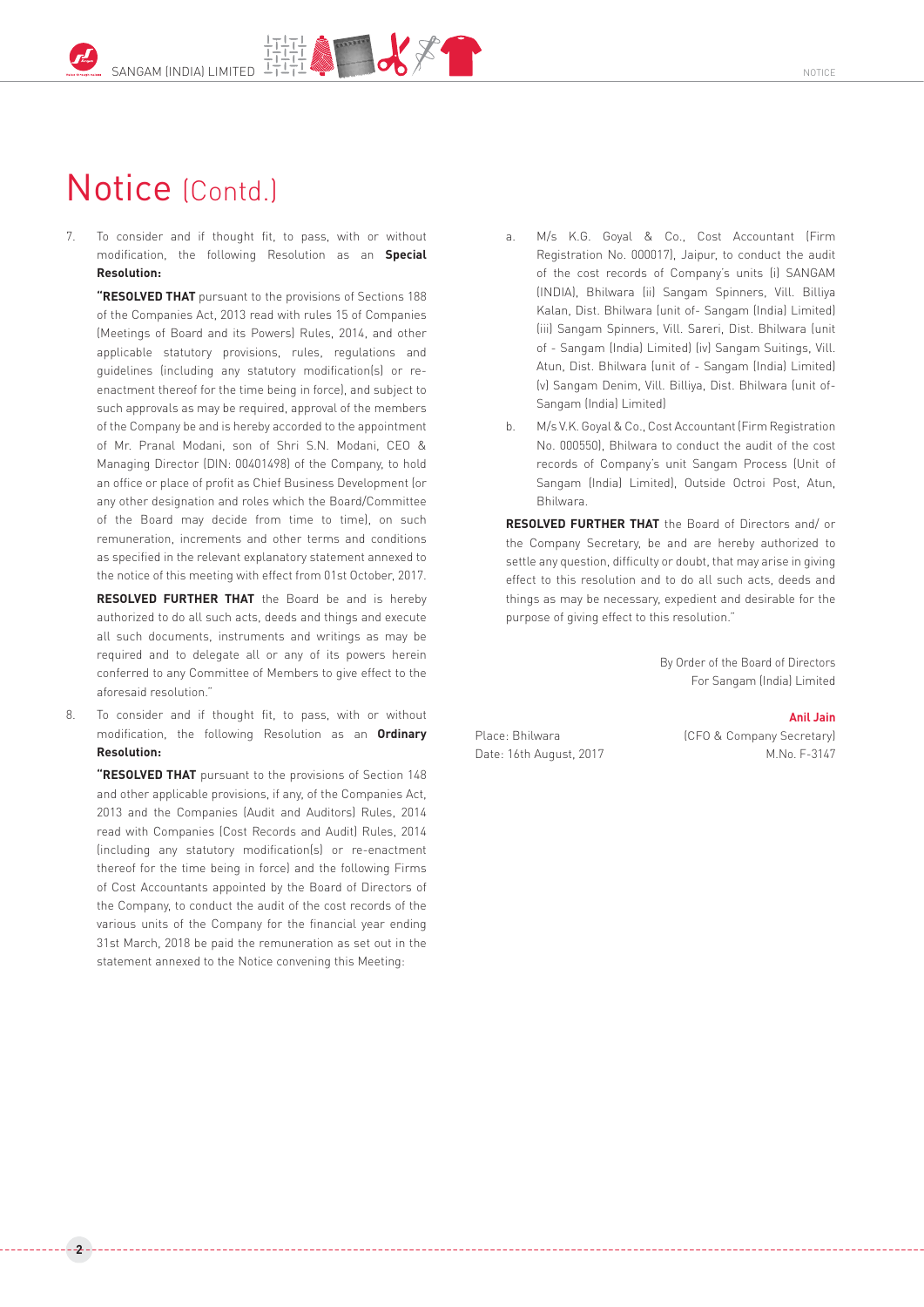# Notice (Contd.)

7. To consider and if thought fit, to pass, with or without modification, the following Resolution as an **Special Resolution:**

**"RESOLVED THAT** pursuant to the provisions of Sections 188 of the Companies Act, 2013 read with rules 15 of Companies (Meetings of Board and its Powers) Rules, 2014, and other applicable statutory provisions, rules, regulations and guidelines (including any statutory modification(s) or reenactment thereof for the time being in force), and subject to such approvals as may be required, approval of the members of the Company be and is hereby accorded to the appointment of Mr. Pranal Modani, son of Shri S.N. Modani, CEO & Managing Director (DIN: 00401498) of the Company, to hold an office or place of profit as Chief Business Development (or any other designation and roles which the Board/Committee of the Board may decide from time to time), on such remuneration, increments and other terms and conditions as specified in the relevant explanatory statement annexed to the notice of this meeting with effect from 01st October, 2017.

**RESOLVED FURTHER THAT** the Board be and is hereby authorized to do all such acts, deeds and things and execute all such documents, instruments and writings as may be required and to delegate all or any of its powers herein conferred to any Committee of Members to give effect to the aforesaid resolution."

8. To consider and if thought fit, to pass, with or without modification, the following Resolution as an **Ordinary Resolution:**

**"RESOLVED THAT** pursuant to the provisions of Section 148 and other applicable provisions, if any, of the Companies Act, 2013 and the Companies (Audit and Auditors) Rules, 2014 read with Companies (Cost Records and Audit) Rules, 2014 (including any statutory modification(s) or re-enactment thereof for the time being in force) and the following Firms of Cost Accountants appointed by the Board of Directors of the Company, to conduct the audit of the cost records of the various units of the Company for the financial year ending 31st March, 2018 be paid the remuneration as set out in the statement annexed to the Notice convening this Meeting:

**2**

- a. M/s K.G. Goyal & Co., Cost Accountant (Firm Registration No. 000017), Jaipur, to conduct the audit of the cost records of Company's units (i) SANGAM (INDIA), Bhilwara (ii) Sangam Spinners, Vill. Billiya Kalan, Dist. Bhilwara (unit of- Sangam (India) Limited) (iii) Sangam Spinners, Vill. Sareri, Dist. Bhilwara (unit of - Sangam (India) Limited) (iv) Sangam Suitings, Vill. Atun, Dist. Bhilwara (unit of - Sangam (India) Limited) (v) Sangam Denim, Vill. Billiya, Dist. Bhilwara (unit of-Sangam (India) Limited)
- b. M/s V.K. Goyal & Co., Cost Accountant (Firm Registration No. 000550), Bhilwara to conduct the audit of the cost records of Company's unit Sangam Process (Unit of Sangam (India) Limited), Outside Octroi Post, Atun, Bhilwara.

**RESOLVED FURTHER THAT** the Board of Directors and/ or the Company Secretary, be and are hereby authorized to settle any question, difficulty or doubt, that may arise in giving effect to this resolution and to do all such acts, deeds and things as may be necessary, expedient and desirable for the purpose of giving effect to this resolution."

> By Order of the Board of Directors For Sangam (India) Limited

#### **Anil Jain**

Place: Bhilwara (CFO & Company Secretary) Date: 16th August, 2017 M.No. F-3147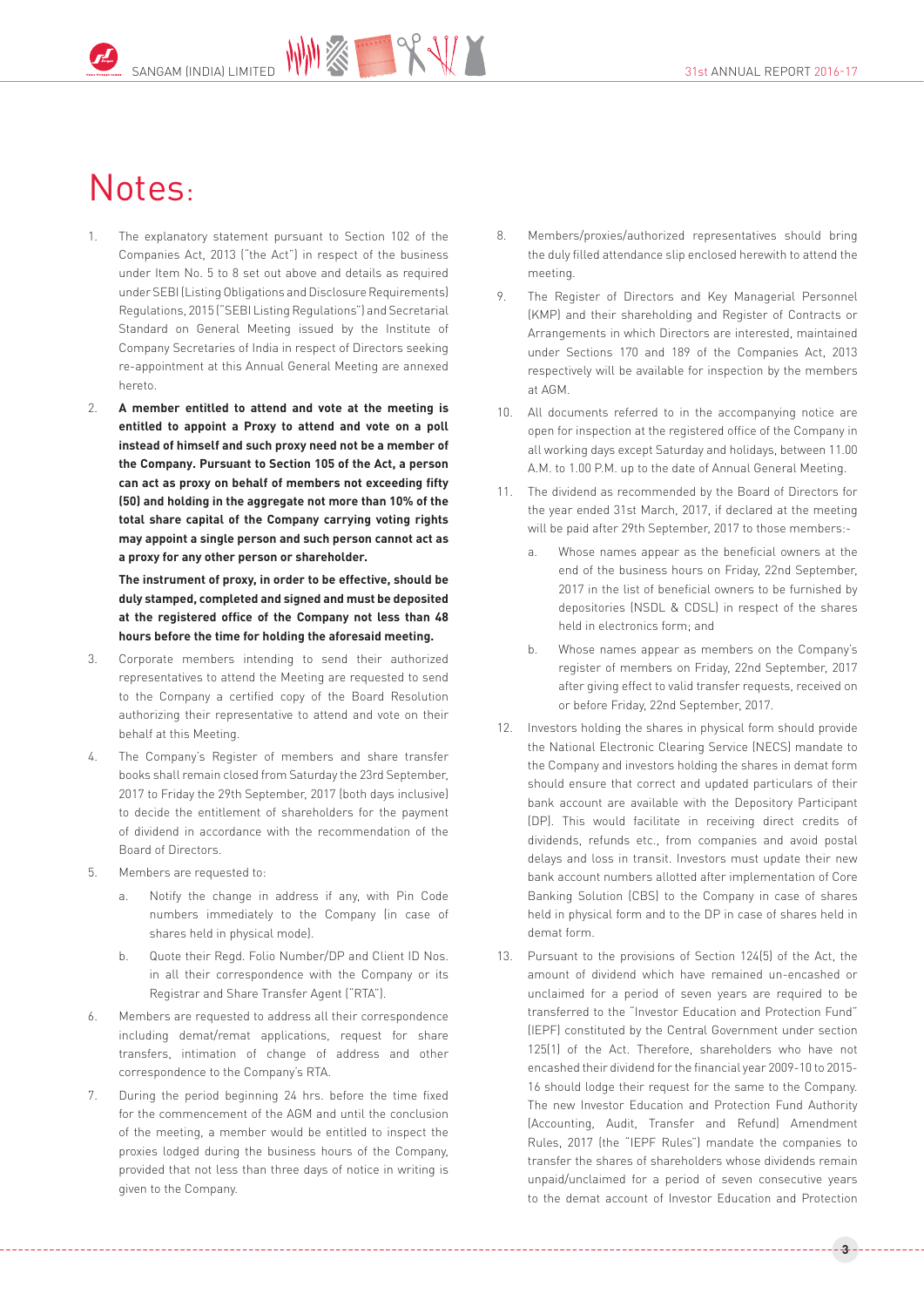# Notes:

- 1. The explanatory statement pursuant to Section 102 of the Companies Act, 2013 ("the Act") in respect of the business under Item No. 5 to 8 set out above and details as required under SEBI (Listing Obligations and Disclosure Requirements) Regulations, 2015 ("SEBI Listing Regulations") and Secretarial Standard on General Meeting issued by the Institute of Company Secretaries of India in respect of Directors seeking re-appointment at this Annual General Meeting are annexed hereto.
- 2. **A member entitled to attend and vote at the meeting is entitled to appoint a Proxy to attend and vote on a poll instead of himself and such proxy need not be a member of the Company. Pursuant to Section 105 of the Act, a person can act as proxy on behalf of members not exceeding fifty (50) and holding in the aggregate not more than 10% of the total share capital of the Company carrying voting rights may appoint a single person and such person cannot act as a proxy for any other person or shareholder.**

**The instrument of proxy, in order to be effective, should be duly stamped, completed and signed and must be deposited at the registered office of the Company not less than 48 hours before the time for holding the aforesaid meeting.**

- 3. Corporate members intending to send their authorized representatives to attend the Meeting are requested to send to the Company a certified copy of the Board Resolution authorizing their representative to attend and vote on their behalf at this Meeting.
- 4. The Company's Register of members and share transfer books shall remain closed from Saturday the 23rd September, 2017 to Friday the 29th September, 2017 (both days inclusive) to decide the entitlement of shareholders for the payment of dividend in accordance with the recommendation of the Board of Directors.
- 5. Members are requested to:
	- a. Notify the change in address if any, with Pin Code numbers immediately to the Company (in case of shares held in physical mode).
	- b. Quote their Regd. Folio Number/DP and Client ID Nos. in all their correspondence with the Company or its Registrar and Share Transfer Agent ("RTA").
- 6. Members are requested to address all their correspondence including demat/remat applications, request for share transfers, intimation of change of address and other correspondence to the Company's RTA.
- 7. During the period beginning 24 hrs. before the time fixed for the commencement of the AGM and until the conclusion of the meeting, a member would be entitled to inspect the proxies lodged during the business hours of the Company, provided that not less than three days of notice in writing is given to the Company.
- 8. Members/proxies/authorized representatives should bring the duly filled attendance slip enclosed herewith to attend the meeting.
- 9. The Register of Directors and Key Managerial Personnel (KMP) and their shareholding and Register of Contracts or Arrangements in which Directors are interested, maintained under Sections 170 and 189 of the Companies Act, 2013 respectively will be available for inspection by the members at AGM.
- 10. All documents referred to in the accompanying notice are open for inspection at the registered office of the Company in all working days except Saturday and holidays, between 11.00 A.M. to 1.00 P.M. up to the date of Annual General Meeting.
- 11. The dividend as recommended by the Board of Directors for the year ended 31st March, 2017, if declared at the meeting will be paid after 29th September, 2017 to those members:
	- a. Whose names appear as the beneficial owners at the end of the business hours on Friday, 22nd September, 2017 in the list of beneficial owners to be furnished by depositories (NSDL & CDSL) in respect of the shares held in electronics form; and
	- b. Whose names appear as members on the Company's register of members on Friday, 22nd September, 2017 after giving effect to valid transfer requests, received on or before Friday, 22nd September, 2017.
- 12. Investors holding the shares in physical form should provide the National Electronic Clearing Service (NECS) mandate to the Company and investors holding the shares in demat form should ensure that correct and updated particulars of their bank account are available with the Depository Participant (DP). This would facilitate in receiving direct credits of dividends, refunds etc., from companies and avoid postal delays and loss in transit. Investors must update their new bank account numbers allotted after implementation of Core Banking Solution (CBS) to the Company in case of shares held in physical form and to the DP in case of shares held in demat form.
- 13. Pursuant to the provisions of Section 124(5) of the Act, the amount of dividend which have remained un-encashed or unclaimed for a period of seven years are required to be transferred to the "Investor Education and Protection Fund" (IEPF) constituted by the Central Government under section 125(1) of the Act. Therefore, shareholders who have not encashed their dividend for the financial year 2009-10 to 2015- 16 should lodge their request for the same to the Company. The new Investor Education and Protection Fund Authority (Accounting, Audit, Transfer and Refund) Amendment Rules, 2017 (the "IEPF Rules") mandate the companies to transfer the shares of shareholders whose dividends remain unpaid/unclaimed for a period of seven consecutive years to the demat account of Investor Education and Protection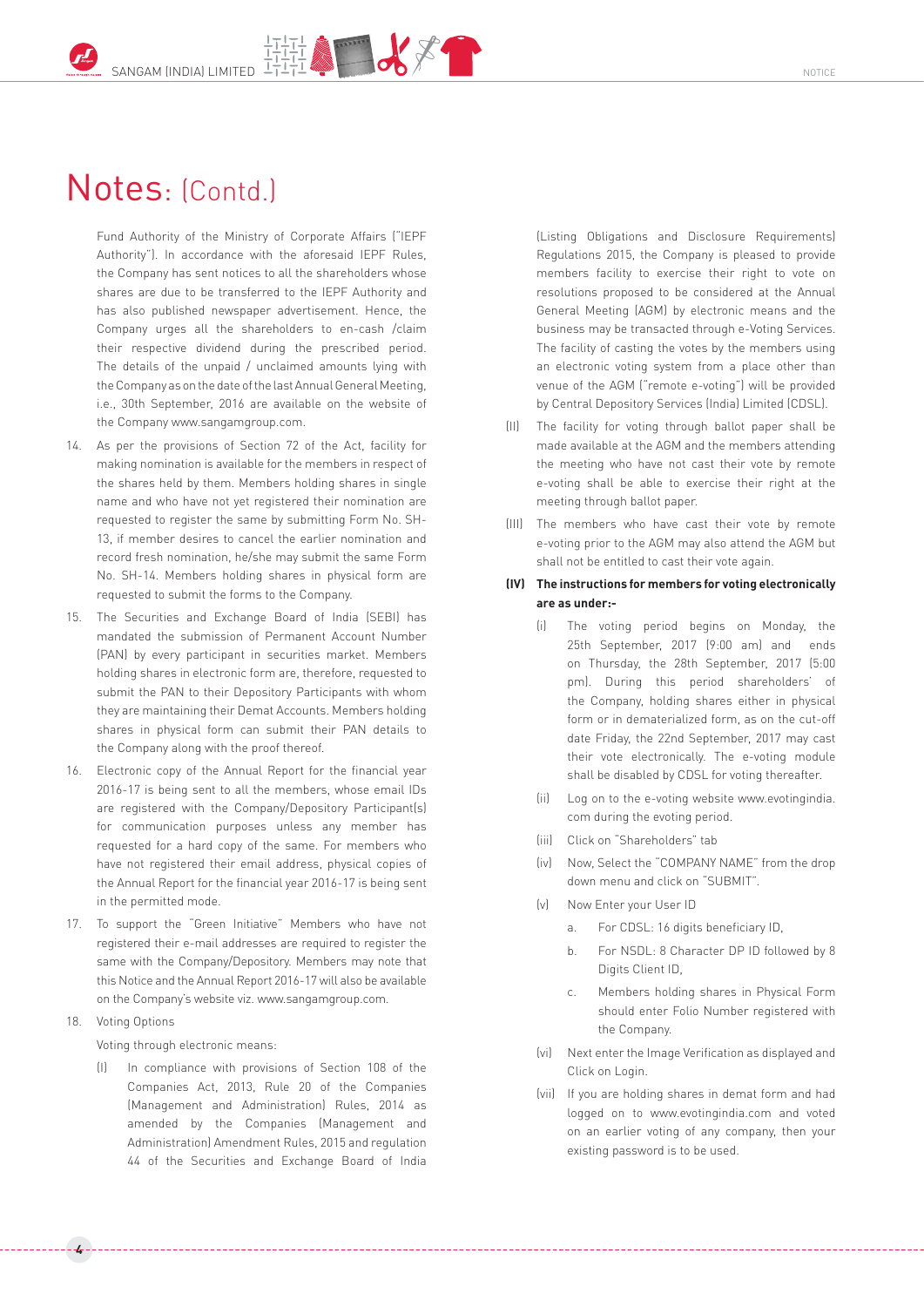## Notes: (Contd.)

Fund Authority of the Ministry of Corporate Affairs ("IEPF Authority"). In accordance with the aforesaid IEPF Rules, the Company has sent notices to all the shareholders whose shares are due to be transferred to the IEPF Authority and has also published newspaper advertisement. Hence, the Company urges all the shareholders to en-cash /claim their respective dividend during the prescribed period. The details of the unpaid / unclaimed amounts lying with the Company as on the date of the last Annual General Meeting, i.e., 30th September, 2016 are available on the website of the Compan[y www.sangamgroup.com.](http://www.sangamgroup.com/)

- 14. As per the provisions of Section 72 of the Act, facility for making nomination is available for the members in respect of the shares held by them. Members holding shares in single name and who have not yet registered their nomination are requested to register the same by submitting Form No. SH-13, if member desires to cancel the earlier nomination and record fresh nomination, he/she may submit the same Form No. SH-14. Members holding shares in physical form are requested to submit the forms to the Company.
- 15. The Securities and Exchange Board of India (SEBI) has mandated the submission of Permanent Account Number (PAN) by every participant in securities market. Members holding shares in electronic form are, therefore, requested to submit the PAN to their Depository Participants with whom they are maintaining their Demat Accounts. Members holding shares in physical form can submit their PAN details to the Company along with the proof thereof.
- 16. Electronic copy of the Annual Report for the financial year 2016-17 is being sent to all the members, whose email IDs are registered with the Company/Depository Participant(s) for communication purposes unless any member has requested for a hard copy of the same. For members who have not registered their email address, physical copies of the Annual Report for the financial year 2016-17 is being sent in the permitted mode.
- 17. To support the "Green Initiative" Members who have not registered their e-mail addresses are required to register the same with the Company/Depository. Members may note that this Notice and the Annual Report 2016-17 will also be available on the Company's website viz[. www.sangamgroup.com.](http://www.sangamgroup.com/)
- 18. Voting Options

**4**

Voting through electronic means:

In compliance with provisions of Section 108 of the Companies Act, 2013, Rule 20 of the Companies (Management and Administration) Rules, 2014 as amended by the Companies (Management and Administration) Amendment Rules, 2015 and regulation 44 of the Securities and Exchange Board of India (Listing Obligations and Disclosure Requirements) Regulations 2015, the Company is pleased to provide members facility to exercise their right to vote on resolutions proposed to be considered at the Annual General Meeting (AGM) by electronic means and the business may be transacted through e-Voting Services. The facility of casting the votes by the members using an electronic voting system from a place other than venue of the AGM ("remote e-voting") will be provided by Central Depository Services (India) Limited (CDSL).

- (II) The facility for voting through ballot paper shall be made available at the AGM and the members attending the meeting who have not cast their vote by remote e-voting shall be able to exercise their right at the meeting through ballot paper.
- (III) The members who have cast their vote by remote e-voting prior to the AGM may also attend the AGM but shall not be entitled to cast their vote again.

### **(IV) The instructions for members for voting electronically are as under:-**

- (i) The voting period begins on Monday, the 25th September, 2017 (9:00 am) and ends on Thursday, the 28th September, 2017 (5:00 pm). During this period shareholders' of the Company, holding shares either in physical form or in dematerialized form, as on the cut-off date Friday, the 22nd September, 2017 may cast their vote electronically. The e-voting module shall be disabled by CDSL for voting thereafter.
- (ii) Log on to the e-voting website www.evotingindia. com during the evoting period.
- (iii) Click on "Shareholders" tab
- (iv) Now, Select the "COMPANY NAME" from the drop down menu and click on "SUBMIT".
- (v) Now Enter your User ID
	- a. For CDSL: 16 digits beneficiary ID,
	- b. For NSDL: 8 Character DP ID followed by 8 Digits Client ID,
	- c. Members holding shares in Physical Form should enter Folio Number registered with the Company.
- (vi) Next enter the Image Verification as displayed and Click on Login.
- (vii) If you are holding shares in demat form and had logged on to www.evotingindia.com and voted on an earlier voting of any company, then your existing password is to be used.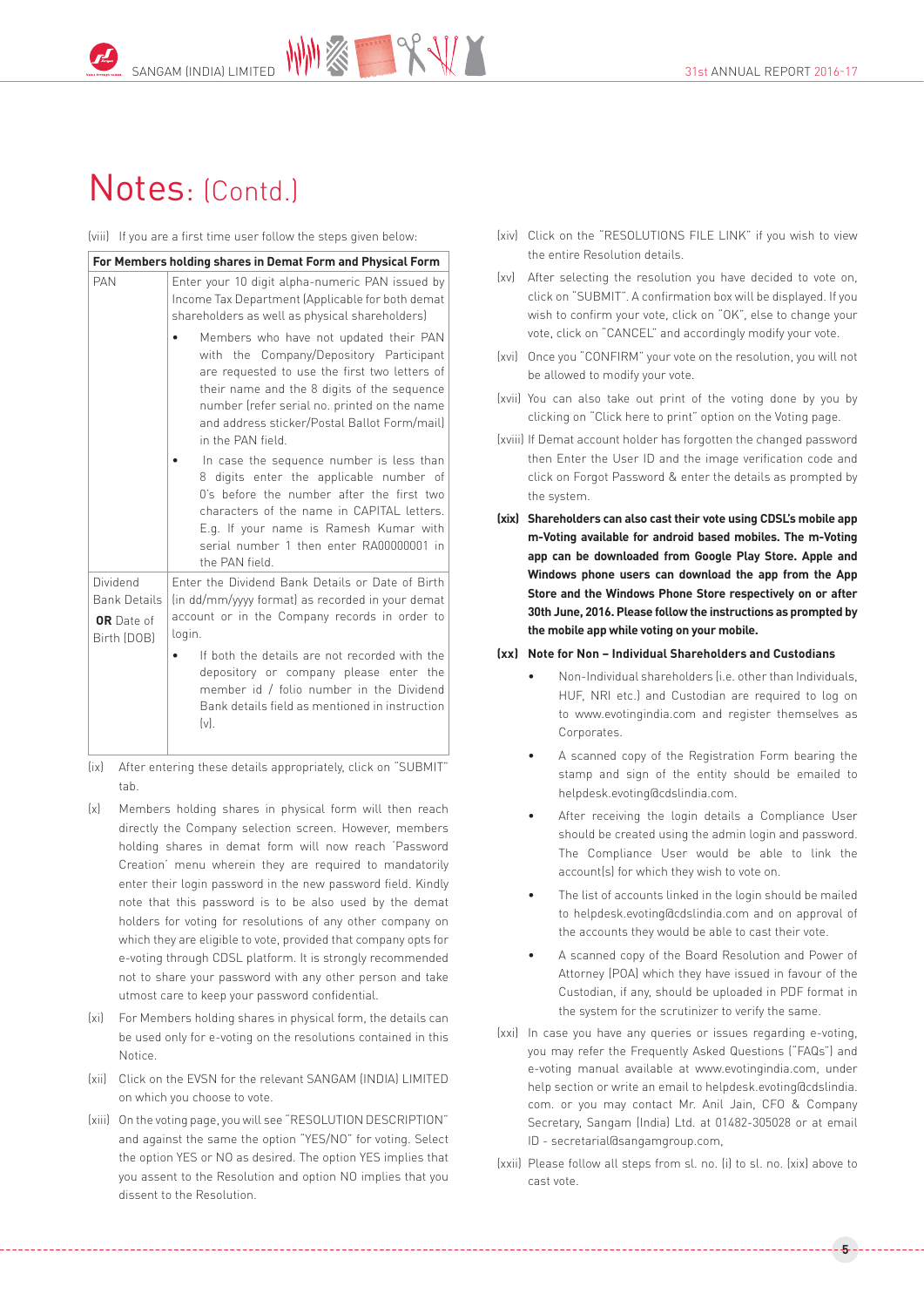## Notes: (Contd.)

(viii) If you are a first time user follow the steps given below:

| For Members holding shares in Demat Form and Physical Form   |                                                                                                                                                                                                                                                                                                                                                                  |  |  |  |  |  |
|--------------------------------------------------------------|------------------------------------------------------------------------------------------------------------------------------------------------------------------------------------------------------------------------------------------------------------------------------------------------------------------------------------------------------------------|--|--|--|--|--|
| PAN                                                          | Enter your 10 digit alpha-numeric PAN issued by<br>Income Tax Department (Applicable for both demat<br>shareholders as well as physical shareholders)                                                                                                                                                                                                            |  |  |  |  |  |
|                                                              | Members who have not updated their PAN<br>with the Company/Depository Participant<br>are requested to use the first two letters of<br>their name and the 8 digits of the sequence<br>number (refer serial no. printed on the name<br>and address sticker/Postal Ballot Form/mail)<br>in the PAN field.                                                           |  |  |  |  |  |
|                                                              | In case the sequence number is less than<br>8 digits enter the applicable number of<br>O's before the number after the first two<br>characters of the name in CAPITAL letters.<br>E.g. If your name is Ramesh Kumar with<br>serial number 1 then enter RA00000001 in<br>the PAN field                                                                            |  |  |  |  |  |
| Dividend<br><b>Bank Details</b><br>OR Date of<br>Birth (DOB) | Enter the Dividend Bank Details or Date of Birth<br>(in dd/mm/yyyy format) as recorded in your demat<br>account or in the Company records in order to<br>login.<br>If both the details are not recorded with the<br>depository or company please enter the<br>member id / folio number in the Dividend<br>Bank details field as mentioned in instruction<br>(v). |  |  |  |  |  |

- (ix) After entering these details appropriately, click on "SUBMIT" tab.
- (x) Members holding shares in physical form will then reach directly the Company selection screen. However, members holding shares in demat form will now reach 'Password Creation' menu wherein they are required to mandatorily enter their login password in the new password field. Kindly note that this password is to be also used by the demat holders for voting for resolutions of any other company on which they are eligible to vote, provided that company opts for e-voting through CDSL platform. It is strongly recommended not to share your password with any other person and take utmost care to keep your password confidential.
- (xi) For Members holding shares in physical form, the details can be used only for e-voting on the resolutions contained in this Notice.
- (xii) Click on the EVSN for the relevant SANGAM (INDIA) LIMITED on which you choose to vote.
- (xiii) On the voting page, you will see "RESOLUTION DESCRIPTION" and against the same the option "YES/NO" for voting. Select the option YES or NO as desired. The option YES implies that you assent to the Resolution and option NO implies that you dissent to the Resolution.
- (xiv) Click on the "RESOLUTIONS FILE LINK" if you wish to view the entire Resolution details.
- (xv) After selecting the resolution you have decided to vote on, click on "SUBMIT". A confirmation box will be displayed. If you wish to confirm your vote, click on "OK", else to change your vote, click on "CANCEL" and accordingly modify your vote.
- (xvi) Once you "CONFIRM" your vote on the resolution, you will not be allowed to modify your vote.
- (xvii) You can also take out print of the voting done by you by clicking on "Click here to print" option on the Voting page.
- (xviii) If Demat account holder has forgotten the changed password then Enter the User ID and the image verification code and click on Forgot Password & enter the details as prompted by the system.
- **(xix) Shareholders can also cast their vote using CDSL's mobile app m-Voting available for android based mobiles. The m-Voting app can be downloaded from Google Play Store. Apple and Windows phone users can download the app from the App Store and the Windows Phone Store respectively on or after 30th June, 2016. Please follow the instructions as prompted by the mobile app while voting on your mobile.**

### **(xx) Note for Non – Individual Shareholders and Custodians**

- Non-Individual shareholders (i.e. other than Individuals, HUF, NRI etc.) and Custodian are required to log on to www.evotingindia.com and register themselves as Corporates.
- A scanned copy of the Registration Form bearing the stamp and sign of the entity should be emailed to helpdesk.evoting@cdslindia.com.
- After receiving the login details a Compliance User should be created using the admin login and password. The Compliance User would be able to link the account(s) for which they wish to vote on.
- The list of accounts linked in the login should be mailed to helpdesk.evoting@cdslindia.com and on approval of the accounts they would be able to cast their vote.
- A scanned copy of the Board Resolution and Power of Attorney (POA) which they have issued in favour of the Custodian, if any, should be uploaded in PDF format in the system for the scrutinizer to verify the same.
- (xxi) In case you have any queries or issues regarding e-voting, you may refer the Frequently Asked Questions ("FAQs") and e-voting manual available at www.evotingindia.com, under help section or write an email to helpdesk.evoting@cdslindia. com. or you may contact Mr. Anil Jain, CFO & Company Secretary, Sangam (India) Ltd. at 01482-305028 or at email ID - secretarial@sangamgroup.com,
- (xxii) Please follow all steps from sl. no. (i) to sl. no. (xix) above to cast vote.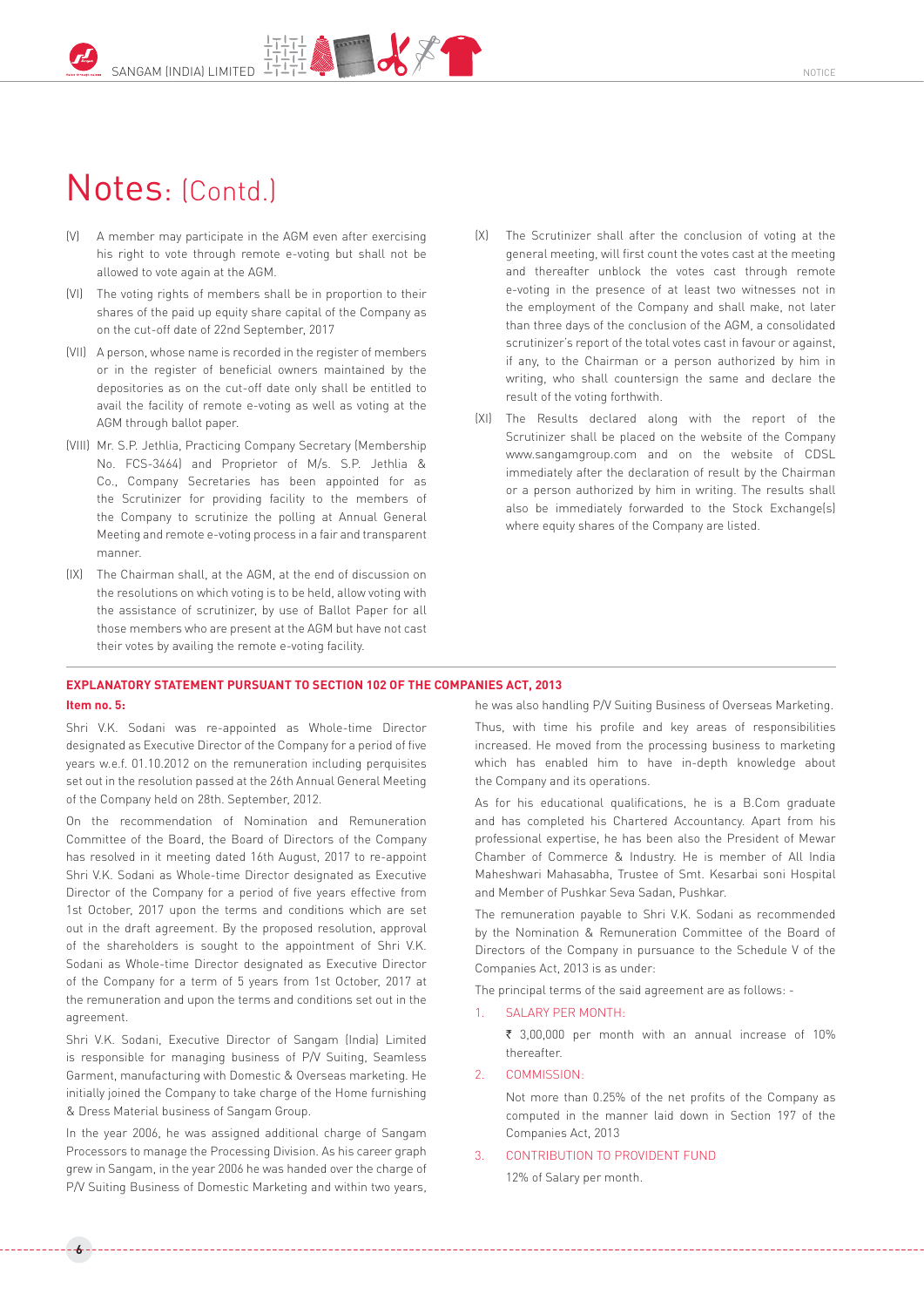## Notes: (Contd.)

- (V) A member may participate in the AGM even after exercising his right to vote through remote e-voting but shall not be allowed to vote again at the AGM.
- (VI) The voting rights of members shall be in proportion to their shares of the paid up equity share capital of the Company as on the cut-off date of 22nd September, 2017
- (VII) A person, whose name is recorded in the register of members or in the register of beneficial owners maintained by the depositories as on the cut-off date only shall be entitled to avail the facility of remote e-voting as well as voting at the AGM through ballot paper.
- (VIII) Mr. S.P. Jethlia, Practicing Company Secretary (Membership No. FCS-3464) and Proprietor of M/s. S.P. Jethlia & Co., Company Secretaries has been appointed for as the Scrutinizer for providing facility to the members of the Company to scrutinize the polling at Annual General Meeting and remote e-voting process in a fair and transparent manner.
- (IX) The Chairman shall, at the AGM, at the end of discussion on the resolutions on which voting is to be held, allow voting with the assistance of scrutinizer, by use of Ballot Paper for all those members who are present at the AGM but have not cast their votes by availing the remote e-voting facility.
- (X) The Scrutinizer shall after the conclusion of voting at the general meeting, will first count the votes cast at the meeting and thereafter unblock the votes cast through remote e-voting in the presence of at least two witnesses not in the employment of the Company and shall make, not later than three days of the conclusion of the AGM, a consolidated scrutinizer's report of the total votes cast in favour or against, if any, to the Chairman or a person authorized by him in writing, who shall countersign the same and declare the result of the voting forthwith.
- (XI) The Results declared along with the report of the Scrutinizer shall be placed on the website of the Company [www.sangamgroup.com](http://www.sangamgroup.com/) and on the website of CDSL immediately after the declaration of result by the Chairman or a person authorized by him in writing. The results shall also be immediately forwarded to the Stock Exchange(s) where equity shares of the Company are listed.

## **EXPLANATORY STATEMENT PURSUANT TO SECTION 102 OF THE COMPANIES ACT, 2013**

### **Item no. 5:**

**6**

Shri V.K. Sodani was re-appointed as Whole-time Director designated as Executive Director of the Company for a period of five years w.e.f. 01.10.2012 on the remuneration including perquisites set out in the resolution passed at the 26th Annual General Meeting of the Company held on 28th. September, 2012.

On the recommendation of Nomination and Remuneration Committee of the Board, the Board of Directors of the Company has resolved in it meeting dated 16th August, 2017 to re-appoint Shri V.K. Sodani as Whole-time Director designated as Executive Director of the Company for a period of five years effective from 1st October, 2017 upon the terms and conditions which are set out in the draft agreement. By the proposed resolution, approval of the shareholders is sought to the appointment of Shri V.K. Sodani as Whole-time Director designated as Executive Director of the Company for a term of 5 years from 1st October, 2017 at the remuneration and upon the terms and conditions set out in the agreement.

Shri V.K. Sodani, Executive Director of Sangam (India) Limited is responsible for managing business of P/V Suiting, Seamless Garment, manufacturing with Domestic & Overseas marketing. He initially joined the Company to take charge of the Home furnishing & Dress Material business of Sangam Group.

In the year 2006, he was assigned additional charge of Sangam Processors to manage the Processing Division. As his career graph grew in Sangam, in the year 2006 he was handed over the charge of P/V Suiting Business of Domestic Marketing and within two years, he was also handling P/V Suiting Business of Overseas Marketing.

Thus, with time his profile and key areas of responsibilities increased. He moved from the processing business to marketing which has enabled him to have in-depth knowledge about the Company and its operations.

As for his educational qualifications, he is a B.Com graduate and has completed his Chartered Accountancy. Apart from his professional expertise, he has been also the President of Mewar Chamber of Commerce & Industry. He is member of All India Maheshwari Mahasabha, Trustee of Smt. Kesarbai soni Hospital and Member of Pushkar Seva Sadan, Pushkar.

The remuneration payable to Shri V.K. Sodani as recommended by the Nomination & Remuneration Committee of the Board of Directors of the Company in pursuance to the Schedule V of the Companies Act, 2013 is as under:

The principal terms of the said agreement are as follows: -

## SALARY PER MONTH-

₹ 3,00,000 per month with an annual increase of 10% thereafter.

#### 2. COMMISSION:

Not more than 0.25% of the net profits of the Company as computed in the manner laid down in Section 197 of the Companies Act, 2013

#### 3. CONTRIBUTION TO PROVIDENT FUND

12% of Salary per month.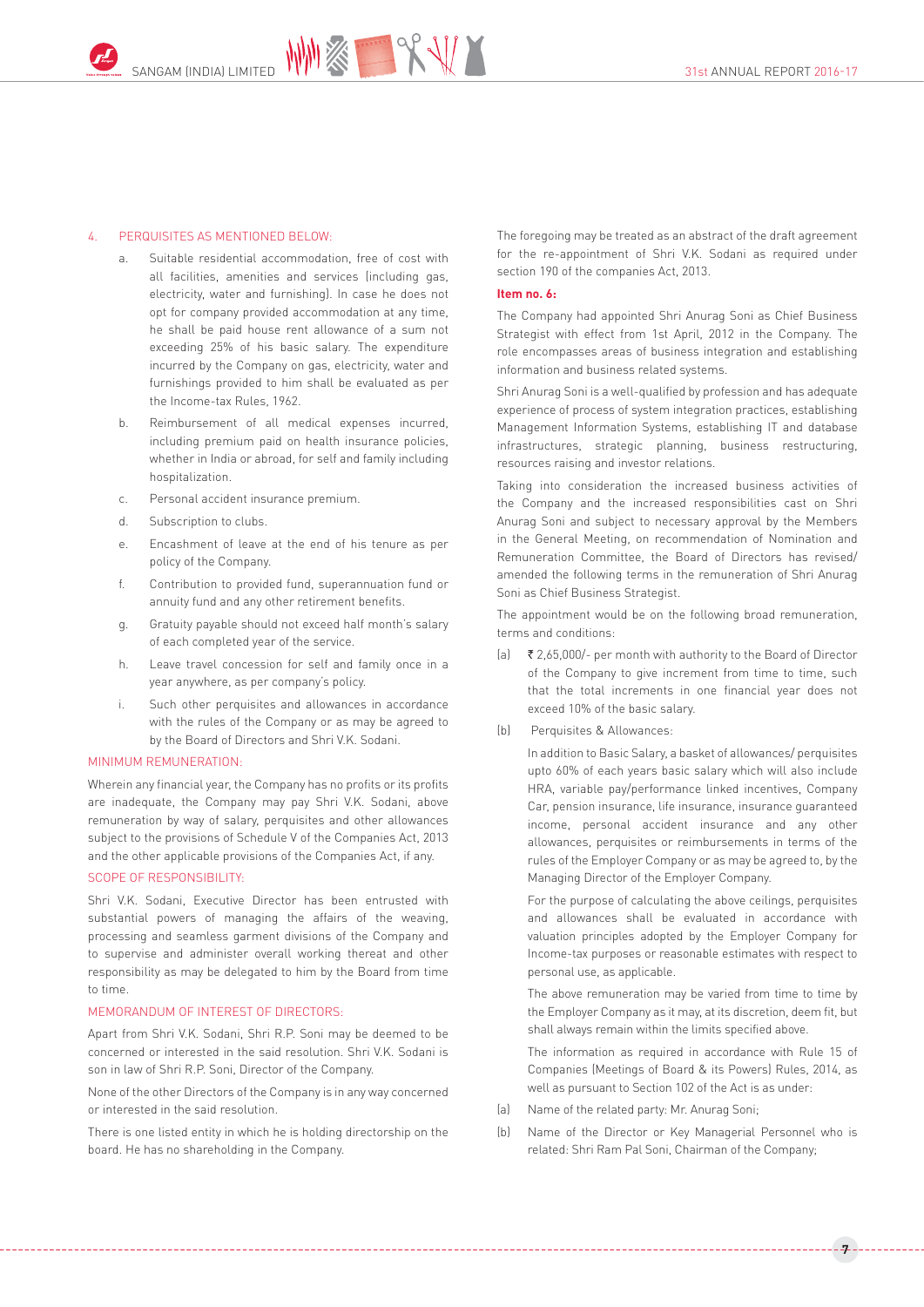### 4. PERQUISITES AS MENTIONED BELOW:

- a. Suitable residential accommodation, free of cost with all facilities, amenities and services (including gas, electricity, water and furnishing). In case he does not opt for company provided accommodation at any time, he shall be paid house rent allowance of a sum not exceeding 25% of his basic salary. The expenditure incurred by the Company on gas, electricity, water and furnishings provided to him shall be evaluated as per the Income-tax Rules, 1962.
- b. Reimbursement of all medical expenses incurred, including premium paid on health insurance policies, whether in India or abroad, for self and family including hospitalization.
- c. Personal accident insurance premium.
- d. Subscription to clubs.
- e. Encashment of leave at the end of his tenure as per policy of the Company.
- f. Contribution to provided fund, superannuation fund or annuity fund and any other retirement benefits.
- g. Gratuity payable should not exceed half month's salary of each completed year of the service.
- h. Leave travel concession for self and family once in a year anywhere, as per company's policy.
- i. Such other perquisites and allowances in accordance with the rules of the Company or as may be agreed to by the Board of Directors and Shri V.K. Sodani.

#### MINIMUM REMUNERATION:

Wherein any financial year, the Company has no profits or its profits are inadequate, the Company may pay Shri V.K. Sodani, above remuneration by way of salary, perquisites and other allowances subject to the provisions of Schedule V of the Companies Act, 2013 and the other applicable provisions of the Companies Act, if any.

## SCOPE OF RESPONSIBILITY:

Shri V.K. Sodani, Executive Director has been entrusted with substantial powers of managing the affairs of the weaving, processing and seamless garment divisions of the Company and to supervise and administer overall working thereat and other responsibility as may be delegated to him by the Board from time to time.

### MEMORANDUM OF INTEREST OF DIRECTORS:

Apart from Shri V.K. Sodani, Shri R.P. Soni may be deemed to be concerned or interested in the said resolution. Shri V.K. Sodani is son in law of Shri R.P. Soni, Director of the Company.

None of the other Directors of the Company is in any way concerned or interested in the said resolution.

There is one listed entity in which he is holding directorship on the board. He has no shareholding in the Company.

The foregoing may be treated as an abstract of the draft agreement for the re-appointment of Shri V.K. Sodani as required under section 190 of the companies Act, 2013.

#### **Item no. 6:**

The Company had appointed Shri Anurag Soni as Chief Business Strategist with effect from 1st April, 2012 in the Company. The role encompasses areas of business integration and establishing information and business related systems.

Shri Anurag Soni is a well-qualified by profession and has adequate experience of process of system integration practices, establishing Management Information Systems, establishing IT and database infrastructures, strategic planning, business restructuring, resources raising and investor relations.

Taking into consideration the increased business activities of the Company and the increased responsibilities cast on Shri Anurag Soni and subject to necessary approval by the Members in the General Meeting, on recommendation of Nomination and Remuneration Committee, the Board of Directors has revised/ amended the following terms in the remuneration of Shri Anurag Soni as Chief Business Strategist.

The appointment would be on the following broad remuneration, terms and conditions:

- (a)  $\bar{\tau}$  2,65,000/- per month with authority to the Board of Director of the Company to give increment from time to time, such that the total increments in one financial year does not exceed 10% of the basic salary.
- (b) Perquisites & Allowances:

In addition to Basic Salary, a basket of allowances/ perquisites upto 60% of each years basic salary which will also include HRA, variable pay/performance linked incentives, Company Car, pension insurance, life insurance, insurance guaranteed income, personal accident insurance and any other allowances, perquisites or reimbursements in terms of the rules of the Employer Company or as may be agreed to, by the Managing Director of the Employer Company.

For the purpose of calculating the above ceilings, perquisites and allowances shall be evaluated in accordance with valuation principles adopted by the Employer Company for Income-tax purposes or reasonable estimates with respect to personal use, as applicable.

The above remuneration may be varied from time to time by the Employer Company as it may, at its discretion, deem fit, but shall always remain within the limits specified above.

The information as required in accordance with Rule 15 of Companies (Meetings of Board & its Powers) Rules, 2014, as well as pursuant to Section 102 of the Act is as under:

- (a) Name of the related party: Mr. Anurag Soni;
- (b) Name of the Director or Key Managerial Personnel who is related: Shri Ram Pal Soni, Chairman of the Company;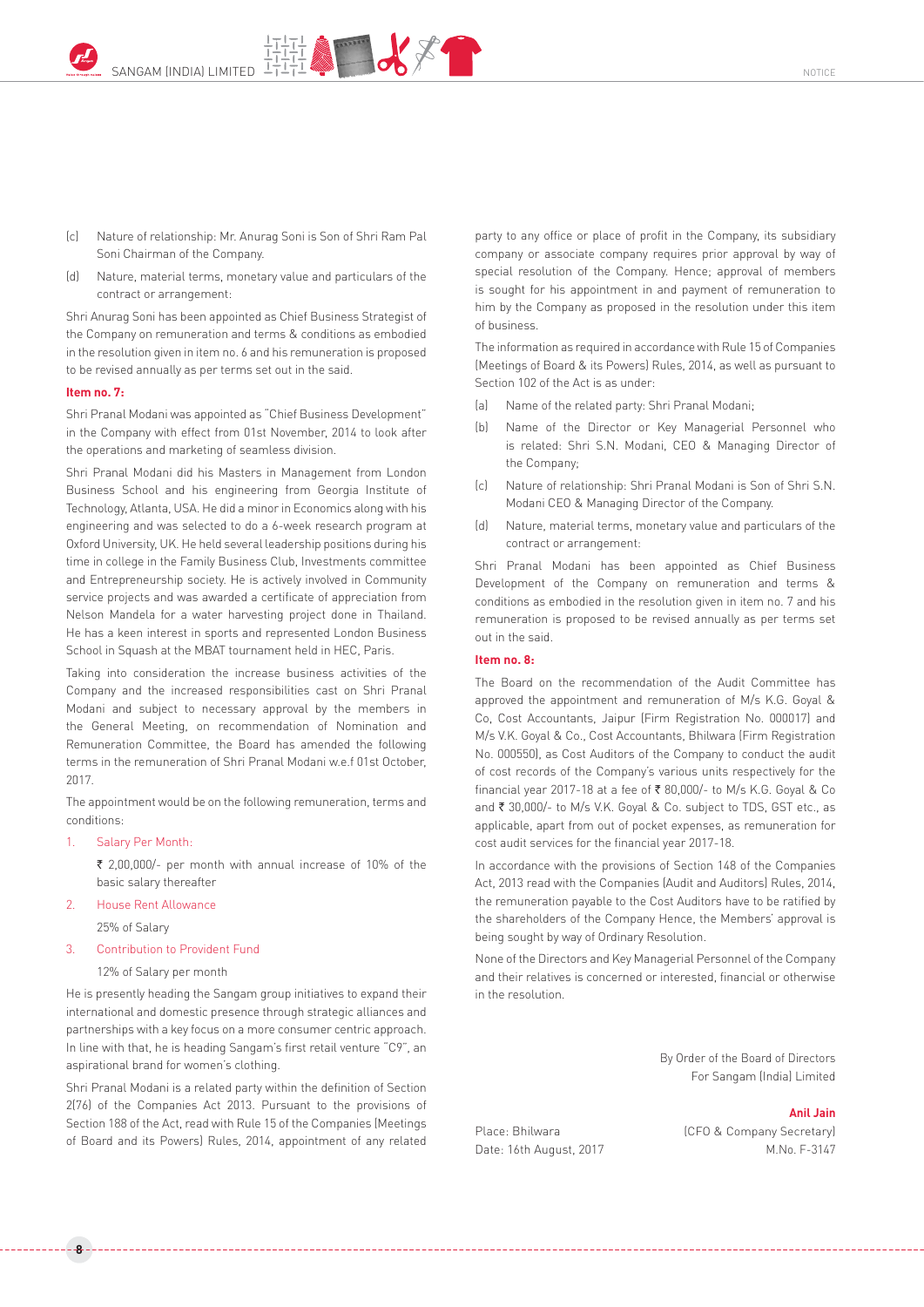

- (c) Nature of relationship: Mr. Anurag Soni is Son of Shri Ram Pal Soni Chairman of the Company.
- (d) Nature, material terms, monetary value and particulars of the contract or arrangement:

Shri Anurag Soni has been appointed as Chief Business Strategist of the Company on remuneration and terms & conditions as embodied in the resolution given in item no. 6 and his remuneration is proposed to be revised annually as per terms set out in the said.

#### **Item no. 7:**

Shri Pranal Modani was appointed as "Chief Business Development" in the Company with effect from 01st November, 2014 to look after the operations and marketing of seamless division.

Shri Pranal Modani did his Masters in Management from London Business School and his engineering from Georgia Institute of Technology, Atlanta, USA. He did a minor in Economics along with his engineering and was selected to do a 6-week research program at Oxford University, UK. He held several leadership positions during his time in college in the Family Business Club, Investments committee and Entrepreneurship society. He is actively involved in Community service projects and was awarded a certificate of appreciation from Nelson Mandela for a water harvesting project done in Thailand. He has a keen interest in sports and represented London Business School in Squash at the MBAT tournament held in HEC, Paris.

Taking into consideration the increase business activities of the Company and the increased responsibilities cast on Shri Pranal Modani and subject to necessary approval by the members in the General Meeting, on recommendation of Nomination and Remuneration Committee, the Board has amended the following terms in the remuneration of Shri Pranal Modani w.e.f 01st October, 2017.

The appointment would be on the following remuneration, terms and conditions:

1. Salary Per Month:

**8**

 $\bar{\tau}$  2,00,000/- per month with annual increase of 10% of the basic salary thereafter

- 2. House Rent Allowance 25% of Salary
- 3. Contribution to Provident Fund

12% of Salary per month

He is presently heading the Sangam group initiatives to expand their international and domestic presence through strategic alliances and partnerships with a key focus on a more consumer centric approach. In line with that, he is heading Sangam's first retail venture "C9", an aspirational brand for women's clothing.

Shri Pranal Modani is a related party within the definition of Section 2(76) of the Companies Act 2013. Pursuant to the provisions of Section 188 of the Act, read with Rule 15 of the Companies (Meetings of Board and its Powers) Rules, 2014, appointment of any related party to any office or place of profit in the Company, its subsidiary company or associate company requires prior approval by way of special resolution of the Company. Hence; approval of members is sought for his appointment in and payment of remuneration to him by the Company as proposed in the resolution under this item of business.

The information as required in accordance with Rule 15 of Companies (Meetings of Board & its Powers) Rules, 2014, as well as pursuant to Section 102 of the Act is as under:

- (a) Name of the related party: Shri Pranal Modani;
- (b) Name of the Director or Key Managerial Personnel who is related: Shri S.N. Modani, CEO & Managing Director of the Company;
- (c) Nature of relationship: Shri Pranal Modani is Son of Shri S.N. Modani CEO & Managing Director of the Company.
- (d) Nature, material terms, monetary value and particulars of the contract or arrangement:

Shri Pranal Modani has been appointed as Chief Business Development of the Company on remuneration and terms & conditions as embodied in the resolution given in item no. 7 and his remuneration is proposed to be revised annually as per terms set out in the said.

### **Item no. 8:**

The Board on the recommendation of the Audit Committee has approved the appointment and remuneration of M/s K.G. Goyal & Co, Cost Accountants, Jaipur (Firm Registration No. 000017) and M/s V.K. Goyal & Co., Cost Accountants, Bhilwara (Firm Registration No. 000550), as Cost Auditors of the Company to conduct the audit of cost records of the Company's various units respectively for the financial year 2017-18 at a fee of ₹ 80,000/- to M/s K.G. Goyal & Co and ₹ 30,000/- to M/s V.K. Goyal & Co. subject to TDS, GST etc., as applicable, apart from out of pocket expenses, as remuneration for cost audit services for the financial year 2017-18.

In accordance with the provisions of Section 148 of the Companies Act, 2013 read with the Companies (Audit and Auditors) Rules, 2014, the remuneration payable to the Cost Auditors have to be ratified by the shareholders of the Company Hence, the Members' approval is being sought by way of Ordinary Resolution.

None of the Directors and Key Managerial Personnel of the Company and their relatives is concerned or interested, financial or otherwise in the resolution.

> By Order of the Board of Directors For Sangam (India) Limited

#### **Anil Jain**

Place: Bhilwara (CFO & Company Secretary) Date: 16th August, 2017 M.No. F-3147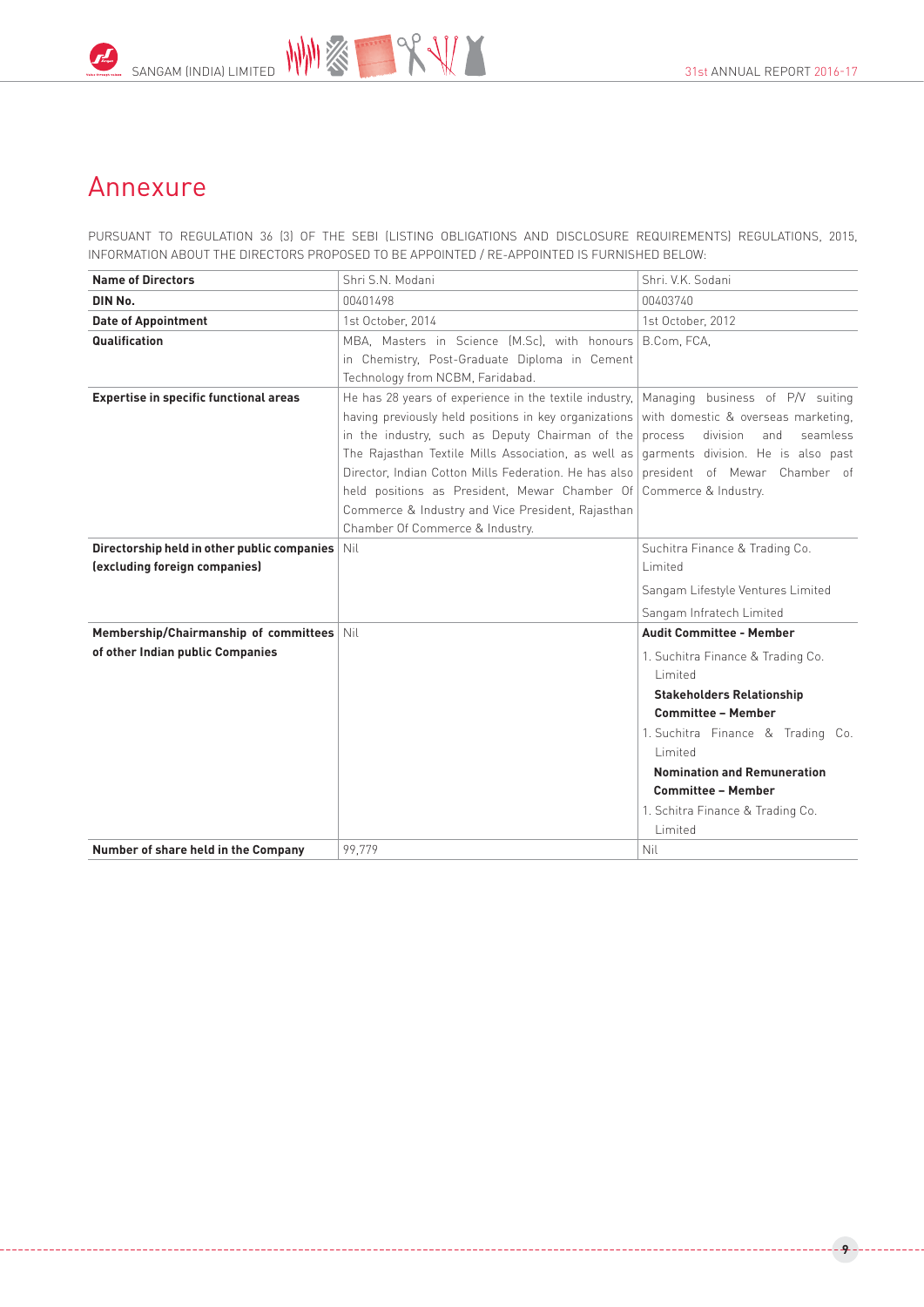

## Annexure

PURSUANT TO REGULATION 36 (3) OF THE SEBI (LISTING OBLIGATIONS AND DISCLOSURE REQUIREMENTS) REGULATIONS, 2015, INFORMATION ABOUT THE DIRECTORS PROPOSED TO BE APPOINTED / RE-APPOINTED IS FURNISHED BELOW:

| <b>Name of Directors</b>                                                     | Shri S.N. Modani                                                                                                                                                                                                                                                                                                                                                                                                                                                                                                                                                                                       | Shri, V.K. Sodani                                                                                                                                                                                                                                                                                                  |  |  |
|------------------------------------------------------------------------------|--------------------------------------------------------------------------------------------------------------------------------------------------------------------------------------------------------------------------------------------------------------------------------------------------------------------------------------------------------------------------------------------------------------------------------------------------------------------------------------------------------------------------------------------------------------------------------------------------------|--------------------------------------------------------------------------------------------------------------------------------------------------------------------------------------------------------------------------------------------------------------------------------------------------------------------|--|--|
| DIN No.                                                                      | 00401498                                                                                                                                                                                                                                                                                                                                                                                                                                                                                                                                                                                               | 00403740                                                                                                                                                                                                                                                                                                           |  |  |
| <b>Date of Appointment</b>                                                   | 1st October, 2014                                                                                                                                                                                                                                                                                                                                                                                                                                                                                                                                                                                      | 1st October, 2012                                                                                                                                                                                                                                                                                                  |  |  |
| Qualification                                                                | MBA, Masters in Science (M.Sc), with honours<br>in Chemistry, Post-Graduate Diploma in Cement<br>Technology from NCBM, Faridabad.                                                                                                                                                                                                                                                                                                                                                                                                                                                                      | B.Com, FCA,                                                                                                                                                                                                                                                                                                        |  |  |
| <b>Expertise in specific functional areas</b>                                | He has 28 years of experience in the textile industry, $\vert$ Managing business of P/V suiting<br>having previously held positions in key organizations with domestic & overseas marketing,<br>in the industry, such as Deputy Chairman of the process<br>The Rajasthan Textile Mills Association, as well as garments division. He is also past<br>Director, Indian Cotton Mills Federation. He has also president of Mewar Chamber of<br>held positions as President, Mewar Chamber Of Commerce & Industry.<br>Commerce & Industry and Vice President, Rajasthan<br>Chamber Of Commerce & Industry. | division<br>seamless<br>and                                                                                                                                                                                                                                                                                        |  |  |
| Directorship held in other public companies<br>(excluding foreign companies) | Nil                                                                                                                                                                                                                                                                                                                                                                                                                                                                                                                                                                                                    | Suchitra Finance & Trading Co.<br>Limited<br>Sangam Lifestyle Ventures Limited<br>Sangam Infratech Limited                                                                                                                                                                                                         |  |  |
| Membership/Chairmanship of committees<br>of other Indian public Companies    | Nil                                                                                                                                                                                                                                                                                                                                                                                                                                                                                                                                                                                                    | <b>Audit Committee - Member</b><br>1. Suchitra Finance & Trading Co.<br>Limited<br><b>Stakeholders Relationship</b><br><b>Committee - Member</b><br>1. Suchitra Finance & Trading Co.<br>Limited<br><b>Nomination and Remuneration</b><br><b>Committee - Member</b><br>1. Schitra Finance & Trading Co.<br>Limited |  |  |
| Number of share held in the Company                                          | 99,779                                                                                                                                                                                                                                                                                                                                                                                                                                                                                                                                                                                                 | Nil                                                                                                                                                                                                                                                                                                                |  |  |